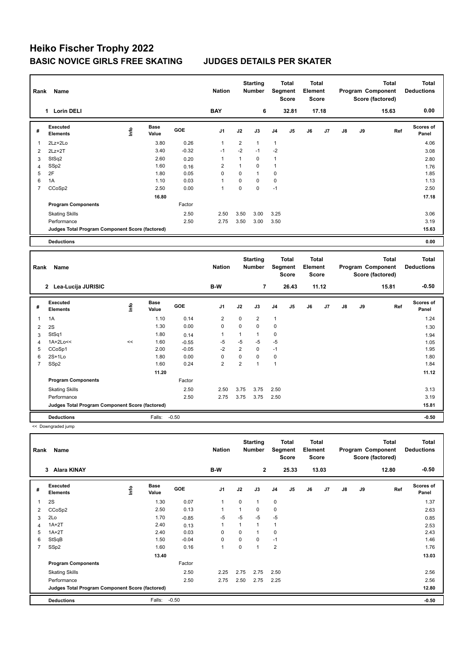| Rank           | Name                                            |      |                      |         | <b>Nation</b>  |                | <b>Starting</b><br><b>Number</b> |                | Total<br>Segment<br><b>Score</b>        | Total<br>Element<br><b>Score</b>        |       |               |    | Program Component<br>Score (factored) | <b>Total</b> | <b>Total</b><br><b>Deductions</b> |
|----------------|-------------------------------------------------|------|----------------------|---------|----------------|----------------|----------------------------------|----------------|-----------------------------------------|-----------------------------------------|-------|---------------|----|---------------------------------------|--------------|-----------------------------------|
|                | 1 Lorin DELI                                    |      |                      |         | <b>BAY</b>     |                | 6                                |                | 32.81                                   |                                         | 17.18 |               |    | 15.63                                 |              | 0.00                              |
| #              | <b>Executed</b><br><b>Elements</b>              | lnfo | <b>Base</b><br>Value | GOE     | J <sub>1</sub> | J2             | J3                               | J <sub>4</sub> | J5                                      | J6                                      | J7    | $\mathsf{J}8$ | J9 |                                       | Ref          | Scores of<br>Panel                |
| $\overline{1}$ | 2Lz+2Lo                                         |      | 3.80                 | 0.26    | $\mathbf{1}$   | $\overline{2}$ | $\mathbf{1}$                     | $\mathbf{1}$   |                                         |                                         |       |               |    |                                       |              | 4.06                              |
| $\overline{2}$ | $2Lz+2T$                                        |      | 3.40                 | $-0.32$ | $-1$           | $-2$           | $-1$                             | $-2$           |                                         |                                         |       |               |    |                                       |              | 3.08                              |
| 3              | StSq2                                           |      | 2.60                 | 0.20    | $\mathbf{1}$   | $\mathbf{1}$   | $\mathbf 0$                      | 1              |                                         |                                         |       |               |    |                                       |              | 2.80                              |
| $\overline{4}$ | SSp2                                            |      | 1.60                 | 0.16    | $\overline{2}$ | $\mathbf{1}$   | $\mathbf 0$                      | 1              |                                         |                                         |       |               |    |                                       |              | 1.76                              |
| 5              | 2F                                              |      | 1.80                 | 0.05    | $\Omega$       | $\overline{0}$ | $\mathbf{1}$                     | $\mathbf 0$    |                                         |                                         |       |               |    |                                       |              | 1.85                              |
| 6              | 1A                                              |      | 1.10                 | 0.03    | 1              | 0              | $\mathbf 0$                      | 0              |                                         |                                         |       |               |    |                                       |              | 1.13                              |
| $\overline{7}$ | CCoSp2                                          |      | 2.50                 | 0.00    | $\mathbf{1}$   | 0              | $\mathbf 0$                      | $-1$           |                                         |                                         |       |               |    |                                       |              | 2.50                              |
|                |                                                 |      | 16.80                |         |                |                |                                  |                |                                         |                                         |       |               |    |                                       |              | 17.18                             |
|                | <b>Program Components</b>                       |      |                      | Factor  |                |                |                                  |                |                                         |                                         |       |               |    |                                       |              |                                   |
|                | <b>Skating Skills</b>                           |      |                      | 2.50    | 2.50           | 3.50           | 3.00                             | 3.25           |                                         |                                         |       |               |    |                                       |              | 3.06                              |
|                | Performance                                     |      |                      | 2.50    | 2.75           | 3.50           | 3.00                             | 3.50           |                                         |                                         |       |               |    |                                       |              | 3.19                              |
|                | Judges Total Program Component Score (factored) |      |                      |         |                |                |                                  |                |                                         |                                         |       |               |    |                                       |              | 15.63                             |
|                | <b>Deductions</b>                               |      |                      |         |                |                |                                  |                |                                         |                                         |       |               |    |                                       |              | 0.00                              |
|                |                                                 |      |                      |         |                |                |                                  |                |                                         |                                         |       |               |    |                                       |              |                                   |
|                |                                                 |      |                      |         |                |                |                                  |                |                                         |                                         |       |               |    |                                       |              |                                   |
| Rank           | Name                                            |      |                      |         | <b>Nation</b>  |                | <b>Starting</b><br><b>Number</b> |                | <b>Total</b><br>Segment<br><b>Score</b> | <b>Total</b><br>Element<br><b>Score</b> |       |               |    | Program Component<br>Score (factored) | <b>Total</b> | <b>Total</b><br><b>Deductions</b> |
|                | 2 Lea-Lucija JURISIC                            |      |                      |         | B-W            |                | 7                                |                | 26.43                                   |                                         | 11.12 |               |    | 15.81                                 |              | $-0.50$                           |
| #              | Executed<br><b>Elements</b>                     | lnfo | <b>Base</b><br>Value | GOE     | J <sub>1</sub> | J2             | J3                               | J4             | J5                                      | J6                                      | J7    | $\mathsf{J}8$ | J9 |                                       | Ref          | Scores of<br>Panel                |
| $\overline{1}$ | 1A                                              |      | 1.10                 | 0.14    | $\overline{2}$ | 0              | $\overline{2}$                   | 1              |                                         |                                         |       |               |    |                                       |              | 1.24                              |
| $\overline{2}$ | 2S                                              |      | 1.30                 | 0.00    | $\Omega$       | 0              | $\mathbf 0$                      | $\mathbf 0$    |                                         |                                         |       |               |    |                                       |              | 1.30                              |
| 3              | StSq1                                           |      | 1.80                 | 0.14    | 1              | $\mathbf{1}$   | $\mathbf{1}$                     | $\mathbf 0$    |                                         |                                         |       |               |    |                                       |              | 1.94                              |
| $\overline{4}$ | $1A+2Lo<<$                                      | <<   | 1.60                 | $-0.55$ | $-5$           | $-5$           | -5                               | $-5$           |                                         |                                         |       |               |    |                                       |              | 1.05                              |
| 5              | CCoSp1                                          |      | 2.00                 | $-0.05$ | $-2$           | $\overline{2}$ | $\mathbf 0$                      | $-1$           |                                         |                                         |       |               |    |                                       |              | 1.95                              |
| 6              | $2S+1Lo$                                        |      | 1.80                 | 0.00    | $\pmb{0}$      | 0              | $\pmb{0}$                        | $\pmb{0}$      |                                         |                                         |       |               |    |                                       |              | 1.80                              |
| $\overline{7}$ | SSp2                                            |      | 1.60                 | 0.24    | $\overline{2}$ | $\overline{2}$ | $\mathbf{1}$                     | $\mathbf{1}$   |                                         |                                         |       |               |    |                                       |              | 1.84                              |
|                |                                                 |      | 11.20                |         |                |                |                                  |                |                                         |                                         |       |               |    |                                       |              | 11.12                             |
|                | <b>Program Components</b>                       |      |                      | Factor  |                |                |                                  |                |                                         |                                         |       |               |    |                                       |              |                                   |
|                |                                                 |      |                      | 2.50    | 2.50           | 3.75           | 3.75                             | 2.50           |                                         |                                         |       |               |    |                                       |              | 3.13                              |
|                | <b>Skating Skills</b><br>Performance            |      |                      | 2.50    | 2.75           | 3.75           | 3.75                             | 2.50           |                                         |                                         |       |               |    |                                       |              | 3.19                              |
|                | Judges Total Program Component Score (factored) |      |                      |         |                |                |                                  |                |                                         |                                         |       |               |    |                                       |              | 15.81                             |

<< Downgraded jump

| Rank | Name                                            |   |                      |            | <b>Nation</b>  |          | <b>Starting</b><br><b>Number</b> | Segment        | <b>Total</b><br><b>Score</b> | <b>Total</b><br>Element<br><b>Score</b> |       |               |    | Total<br>Program Component<br>Score (factored) | <b>Total</b><br><b>Deductions</b> |
|------|-------------------------------------------------|---|----------------------|------------|----------------|----------|----------------------------------|----------------|------------------------------|-----------------------------------------|-------|---------------|----|------------------------------------------------|-----------------------------------|
|      | <b>Alara KINAY</b><br>3                         |   |                      |            | B-W            |          | $\overline{2}$                   |                | 25.33                        |                                         | 13.03 |               |    | 12.80                                          | $-0.50$                           |
| #    | Executed<br><b>Elements</b>                     | ۴ | <b>Base</b><br>Value | <b>GOE</b> | J <sub>1</sub> | J2       | J3                               | J4             | J5                           | J6                                      | J7    | $\mathsf{J}8$ | J9 | Ref                                            | <b>Scores of</b><br>Panel         |
| 1    | 2S                                              |   | 1.30                 | 0.07       | $\mathbf{1}$   | $\Omega$ | $\mathbf{1}$                     | 0              |                              |                                         |       |               |    |                                                | 1.37                              |
| 2    | CCoSp2                                          |   | 2.50                 | 0.13       | $\mathbf{1}$   |          | 0                                | $\mathbf 0$    |                              |                                         |       |               |    |                                                | 2.63                              |
| 3    | 2Lo                                             |   | 1.70                 | $-0.85$    | -5             | $-5$     | $-5$                             | $-5$           |                              |                                         |       |               |    |                                                | 0.85                              |
| 4    | $1A+2T$                                         |   | 2.40                 | 0.13       | $\mathbf{1}$   |          | $\mathbf{1}$                     | $\overline{1}$ |                              |                                         |       |               |    |                                                | 2.53                              |
| 5    | $1A+2T$                                         |   | 2.40                 | 0.03       | $\mathbf 0$    | $\Omega$ | $\mathbf{1}$                     | 0              |                              |                                         |       |               |    |                                                | 2.43                              |
| 6    | StSqB                                           |   | 1.50                 | $-0.04$    | $\mathbf 0$    | 0        | 0                                | $-1$           |                              |                                         |       |               |    |                                                | 1.46                              |
| 7    | SSp2                                            |   | 1.60                 | 0.16       | $\mathbf{1}$   | $\Omega$ | 1                                | $\overline{2}$ |                              |                                         |       |               |    |                                                | 1.76                              |
|      |                                                 |   | 13.40                |            |                |          |                                  |                |                              |                                         |       |               |    |                                                | 13.03                             |
|      | <b>Program Components</b>                       |   |                      | Factor     |                |          |                                  |                |                              |                                         |       |               |    |                                                |                                   |
|      | <b>Skating Skills</b>                           |   |                      | 2.50       | 2.25           | 2.75     | 2.75                             | 2.50           |                              |                                         |       |               |    |                                                | 2.56                              |
|      | Performance                                     |   |                      | 2.50       | 2.75           | 2.50     | 2.75                             | 2.25           |                              |                                         |       |               |    |                                                | 2.56                              |
|      | Judges Total Program Component Score (factored) |   |                      |            |                |          |                                  |                |                              |                                         |       |               |    |                                                | 12.80                             |
|      | <b>Deductions</b>                               |   | Falls:               | $-0.50$    |                |          |                                  |                |                              |                                         |       |               |    |                                                | $-0.50$                           |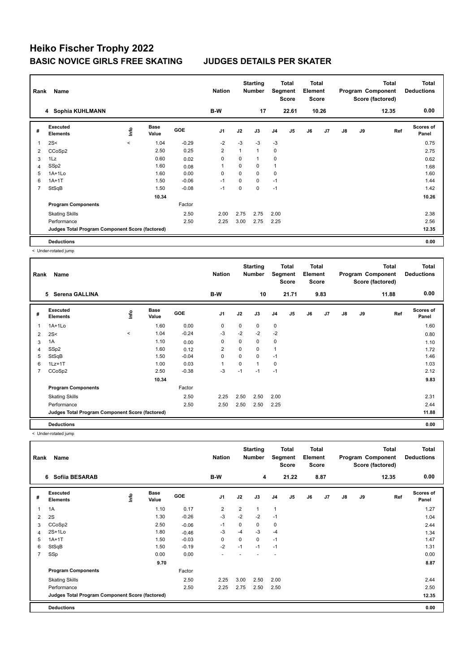| Rank | Name                                            |            |                      |            | <b>Nation</b>  |             | <b>Starting</b><br>Number |                | Total<br>Segment<br><b>Score</b> | Total<br>Element<br><b>Score</b> |                |               |    | <b>Total</b><br>Program Component<br>Score (factored) | <b>Total</b><br><b>Deductions</b> |
|------|-------------------------------------------------|------------|----------------------|------------|----------------|-------------|---------------------------|----------------|----------------------------------|----------------------------------|----------------|---------------|----|-------------------------------------------------------|-----------------------------------|
|      | 4 Sophia KUHLMANN                               |            |                      |            | B-W            |             | 17                        |                | 22.61                            |                                  | 10.26          |               |    | 12.35                                                 | 0.00                              |
| #    | Executed<br><b>Elements</b>                     | <b>Lin</b> | <b>Base</b><br>Value | <b>GOE</b> | J <sub>1</sub> | J2          | J3                        | J <sub>4</sub> | J <sub>5</sub>                   | J6                               | J <sub>7</sub> | $\mathsf{J}8$ | J9 | Ref                                                   | <b>Scores of</b><br>Panel         |
| 1    | 2S<                                             | $\prec$    | 1.04                 | $-0.29$    | $-2$           | $-3$        | $-3$                      | $-3$           |                                  |                                  |                |               |    |                                                       | 0.75                              |
| 2    | CCoSp2                                          |            | 2.50                 | 0.25       | $\overline{2}$ | 1           | $\mathbf{1}$              | $\mathbf 0$    |                                  |                                  |                |               |    |                                                       | 2.75                              |
| 3    | 1Lz                                             |            | 0.60                 | 0.02       | 0              | 0           | 1                         | 0              |                                  |                                  |                |               |    |                                                       | 0.62                              |
| 4    | SSp2                                            |            | 1.60                 | 0.08       | $\overline{1}$ | 0           | 0                         | 1              |                                  |                                  |                |               |    |                                                       | 1.68                              |
| 5    | $1A+1Lo$                                        |            | 1.60                 | 0.00       | 0              | $\Omega$    | 0                         | 0              |                                  |                                  |                |               |    |                                                       | 1.60                              |
| 6    | $1A+1T$                                         |            | 1.50                 | $-0.06$    | $-1$           | $\mathbf 0$ | 0                         | $-1$           |                                  |                                  |                |               |    |                                                       | 1.44                              |
| 7    | StSqB                                           |            | 1.50                 | $-0.08$    | $-1$           | 0           | 0                         | $-1$           |                                  |                                  |                |               |    |                                                       | 1.42                              |
|      |                                                 |            | 10.34                |            |                |             |                           |                |                                  |                                  |                |               |    |                                                       | 10.26                             |
|      | <b>Program Components</b>                       |            |                      | Factor     |                |             |                           |                |                                  |                                  |                |               |    |                                                       |                                   |
|      | <b>Skating Skills</b>                           |            |                      | 2.50       | 2.00           | 2.75        | 2.75                      | 2.00           |                                  |                                  |                |               |    |                                                       | 2.38                              |
|      | Performance                                     |            |                      | 2.50       | 2.25           | 3.00        | 2.75                      | 2.25           |                                  |                                  |                |               |    |                                                       | 2.56                              |
|      | Judges Total Program Component Score (factored) |            |                      |            |                |             |                           |                |                                  |                                  |                |               |    |                                                       | 12.35                             |
|      | <b>Deductions</b>                               |            |                      |            |                |             |                           |                |                                  |                                  |                |               |    |                                                       | 0.00                              |

< Under-rotated jump

| Rank | Name                                            |       |                      |         | <b>Nation</b>  |      | <b>Starting</b><br><b>Number</b> |                | <b>Total</b><br>Segment<br><b>Score</b> | <b>Total</b><br>Element<br><b>Score</b> |                |               |    | <b>Total</b><br>Program Component<br>Score (factored) | <b>Total</b><br><b>Deductions</b> |
|------|-------------------------------------------------|-------|----------------------|---------|----------------|------|----------------------------------|----------------|-----------------------------------------|-----------------------------------------|----------------|---------------|----|-------------------------------------------------------|-----------------------------------|
|      | 5<br>Serena GALLINA                             |       |                      |         | B-W            |      | 10                               |                | 21.71                                   |                                         | 9.83           |               |    | 11.88                                                 | 0.00                              |
| #    | <b>Executed</b><br><b>Elements</b>              | ١m    | <b>Base</b><br>Value | GOE     | J <sub>1</sub> | J2   | J3                               | J <sub>4</sub> | J5                                      | J6                                      | J <sub>7</sub> | $\mathsf{J}8$ | J9 | Ref                                                   | <b>Scores of</b><br>Panel         |
| 1    | $1A+1Lo$                                        |       | 1.60                 | 0.00    | 0              | 0    | 0                                | 0              |                                         |                                         |                |               |    |                                                       | 1.60                              |
| 2    | 2S<                                             | $\,<$ | 1.04                 | $-0.24$ | $-3$           | $-2$ | $-2$                             | $-2$           |                                         |                                         |                |               |    |                                                       | 0.80                              |
| 3    | 1A                                              |       | 1.10                 | 0.00    | 0              | 0    | 0                                | 0              |                                         |                                         |                |               |    |                                                       | 1.10                              |
| 4    | SSp2                                            |       | 1.60                 | 0.12    | 2              | 0    | 0                                | $\overline{1}$ |                                         |                                         |                |               |    |                                                       | 1.72                              |
| 5    | StSqB                                           |       | 1.50                 | $-0.04$ | 0              | 0    | 0                                | $-1$           |                                         |                                         |                |               |    |                                                       | 1.46                              |
| 6    | $1Lz+1T$                                        |       | 1.00                 | 0.03    | 1              | 0    | 1                                | 0              |                                         |                                         |                |               |    |                                                       | 1.03                              |
| 7    | CCoSp2                                          |       | 2.50                 | $-0.38$ | -3             | $-1$ | $-1$                             | $-1$           |                                         |                                         |                |               |    |                                                       | 2.12                              |
|      |                                                 |       | 10.34                |         |                |      |                                  |                |                                         |                                         |                |               |    |                                                       | 9.83                              |
|      | <b>Program Components</b>                       |       |                      | Factor  |                |      |                                  |                |                                         |                                         |                |               |    |                                                       |                                   |
|      | <b>Skating Skills</b>                           |       |                      | 2.50    | 2.25           | 2.50 | 2.50                             | 2.00           |                                         |                                         |                |               |    |                                                       | 2.31                              |
|      | Performance                                     |       |                      | 2.50    | 2.50           | 2.50 | 2.50                             | 2.25           |                                         |                                         |                |               |    |                                                       | 2.44                              |
|      | Judges Total Program Component Score (factored) |       |                      |         |                |      |                                  |                |                                         |                                         |                |               |    |                                                       | 11.88                             |
|      | <b>Deductions</b>                               |       |                      |         |                |      |                                  |                |                                         |                                         |                |               |    |                                                       | 0.00                              |

< Under-rotated jump

| Rank           | Name                                            |      |                      |            | <b>Nation</b>  |                | <b>Starting</b><br><b>Number</b> |                | Total<br>Segment<br><b>Score</b> | Total<br>Element<br><b>Score</b> |                |               |    | <b>Total</b><br>Program Component<br>Score (factored) | <b>Total</b><br><b>Deductions</b> |
|----------------|-------------------------------------------------|------|----------------------|------------|----------------|----------------|----------------------------------|----------------|----------------------------------|----------------------------------|----------------|---------------|----|-------------------------------------------------------|-----------------------------------|
|                | Sofiia BESARAB<br>6                             |      |                      |            | B-W            |                | 4                                |                | 21.22                            |                                  | 8.87           |               |    | 12.35                                                 | 0.00                              |
| #              | Executed<br><b>Elements</b>                     | ١nf٥ | <b>Base</b><br>Value | <b>GOE</b> | J <sub>1</sub> | J2             | J3                               | J <sub>4</sub> | J <sub>5</sub>                   | J6                               | J <sub>7</sub> | $\mathsf{J}8$ | J9 | Ref                                                   | <b>Scores of</b><br>Panel         |
| 1              | 1A                                              |      | 1.10                 | 0.17       | 2              | $\overline{2}$ | 1                                | $\overline{1}$ |                                  |                                  |                |               |    |                                                       | 1.27                              |
| 2              | 2S                                              |      | 1.30                 | $-0.26$    | -3             | $-2$           | $-2$                             | $-1$           |                                  |                                  |                |               |    |                                                       | 1.04                              |
| 3              | CCoSp2                                          |      | 2.50                 | $-0.06$    | $-1$           | $\Omega$       | 0                                | $\mathbf 0$    |                                  |                                  |                |               |    |                                                       | 2.44                              |
| 4              | $2S+1Lo$                                        |      | 1.80                 | $-0.46$    | -3             | $-4$           | $-3$                             | $-4$           |                                  |                                  |                |               |    |                                                       | 1.34                              |
| 5              | $1A+1T$                                         |      | 1.50                 | $-0.03$    | $\mathbf 0$    | $\Omega$       | 0                                | $-1$           |                                  |                                  |                |               |    |                                                       | 1.47                              |
| 6              | StSqB                                           |      | 1.50                 | $-0.19$    | $-2$           | $-1$           | $-1$                             | $-1$           |                                  |                                  |                |               |    |                                                       | 1.31                              |
| $\overline{7}$ | SSp                                             |      | 0.00                 | 0.00       | ۰              |                |                                  |                |                                  |                                  |                |               |    |                                                       | 0.00                              |
|                |                                                 |      | 9.70                 |            |                |                |                                  |                |                                  |                                  |                |               |    |                                                       | 8.87                              |
|                | <b>Program Components</b>                       |      |                      | Factor     |                |                |                                  |                |                                  |                                  |                |               |    |                                                       |                                   |
|                | <b>Skating Skills</b>                           |      |                      | 2.50       | 2.25           | 3.00           | 2.50                             | 2.00           |                                  |                                  |                |               |    |                                                       | 2.44                              |
|                | Performance                                     |      |                      | 2.50       | 2.25           | 2.75           | 2.50                             | 2.50           |                                  |                                  |                |               |    |                                                       | 2.50                              |
|                | Judges Total Program Component Score (factored) |      |                      |            |                |                |                                  |                |                                  |                                  |                |               |    |                                                       | 12.35                             |
|                | <b>Deductions</b>                               |      |                      |            |                |                |                                  |                |                                  |                                  |                |               |    |                                                       | 0.00                              |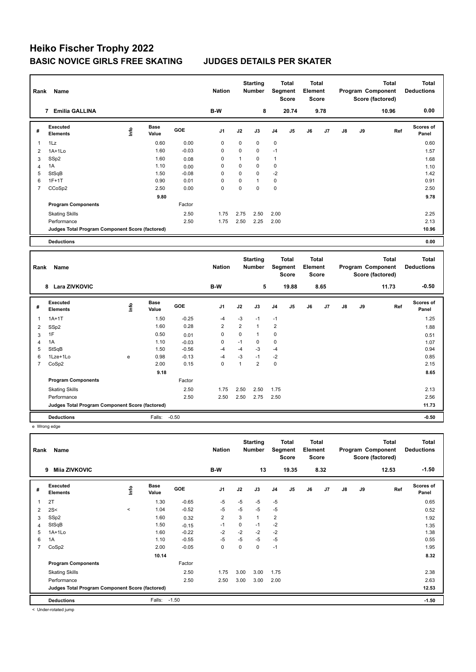| Rank           | Name                                            |      |                      |            | <b>Nation</b>  |                | <b>Starting</b><br><b>Number</b> |                | <b>Total</b><br>Segment<br><b>Score</b> | Element | <b>Total</b><br><b>Score</b> |    |    | <b>Total</b><br>Program Component<br>Score (factored) |     | <b>Total</b><br><b>Deductions</b> |
|----------------|-------------------------------------------------|------|----------------------|------------|----------------|----------------|----------------------------------|----------------|-----------------------------------------|---------|------------------------------|----|----|-------------------------------------------------------|-----|-----------------------------------|
|                | 7 Emilia GALLINA                                |      |                      |            | B-W            |                | 8                                |                | 20.74                                   |         | 9.78                         |    |    | 10.96                                                 |     | 0.00                              |
| #              | Executed<br><b>Elements</b>                     | lnfo | <b>Base</b><br>Value | <b>GOE</b> | J1             | J2             | J3                               | J4             | J5                                      | J6      | J7                           | J8 | J9 |                                                       | Ref | Scores of<br>Panel                |
| 1              | 1Lz                                             |      | 0.60                 | 0.00       | $\mathbf 0$    | $\mathbf 0$    | 0                                | 0              |                                         |         |                              |    |    |                                                       |     | 0.60                              |
| 2              | $1A+1Lo$                                        |      | 1.60                 | $-0.03$    | $\mathbf 0$    | $\mathbf 0$    | 0                                | $-1$           |                                         |         |                              |    |    |                                                       |     | 1.57                              |
| 3              | SSp2                                            |      | 1.60                 | 0.08       | $\Omega$       | $\mathbf{1}$   | 0                                | $\mathbf{1}$   |                                         |         |                              |    |    |                                                       |     | 1.68                              |
| $\overline{4}$ | 1A                                              |      | 1.10                 | 0.00       | $\mathbf 0$    | 0              | 0                                | $\mathsf 0$    |                                         |         |                              |    |    |                                                       |     | 1.10                              |
| 5              | StSqB                                           |      | 1.50                 | $-0.08$    | $\mathbf 0$    | $\mathbf 0$    | 0                                | $-2$           |                                         |         |                              |    |    |                                                       |     | 1.42                              |
| 6              | $1F+1T$                                         |      | 0.90                 | 0.01       | $\mathbf 0$    | $\mathbf 0$    | $\mathbf{1}$                     | $\mathsf 0$    |                                         |         |                              |    |    |                                                       |     | 0.91                              |
| $\overline{7}$ | CCoSp2                                          |      | 2.50                 | 0.00       | $\Omega$       | $\mathbf 0$    | $\Omega$                         | $\mathbf 0$    |                                         |         |                              |    |    |                                                       |     | 2.50                              |
|                |                                                 |      | 9.80                 |            |                |                |                                  |                |                                         |         |                              |    |    |                                                       |     | 9.78                              |
|                | <b>Program Components</b>                       |      |                      | Factor     |                |                |                                  |                |                                         |         |                              |    |    |                                                       |     |                                   |
|                | <b>Skating Skills</b>                           |      |                      | 2.50       | 1.75           | 2.75           | 2.50                             | 2.00           |                                         |         |                              |    |    |                                                       |     | 2.25                              |
|                | Performance                                     |      |                      | 2.50       | 1.75           | 2.50           | 2.25                             | 2.00           |                                         |         |                              |    |    |                                                       |     | 2.13                              |
|                | Judges Total Program Component Score (factored) |      |                      |            |                |                |                                  |                |                                         |         |                              |    |    |                                                       |     | 10.96                             |
|                | <b>Deductions</b>                               |      |                      |            |                |                |                                  |                |                                         |         |                              |    |    |                                                       |     | 0.00                              |
|                |                                                 |      |                      |            |                |                |                                  |                |                                         |         |                              |    |    |                                                       |     |                                   |
|                |                                                 |      |                      |            |                |                |                                  |                |                                         |         |                              |    |    |                                                       |     |                                   |
| Rank           | Name                                            |      |                      |            | <b>Nation</b>  |                | <b>Starting</b><br><b>Number</b> |                | <b>Total</b><br>Segment<br><b>Score</b> | Element | <b>Total</b><br><b>Score</b> |    |    | <b>Total</b><br>Program Component<br>Score (factored) |     | <b>Total</b><br><b>Deductions</b> |
|                | 8 Lara ZIVKOVIC                                 |      |                      |            | B-W            |                | 5                                |                | 19.88                                   |         | 8.65                         |    |    | 11.73                                                 |     | $-0.50$                           |
| #              | <b>Executed</b><br><b>Elements</b>              | lnfo | <b>Base</b><br>Value | <b>GOE</b> | J1             | J2             | J3                               | J4             | J5                                      | J6      | J7                           | J8 | J9 |                                                       | Ref | Scores of<br>Panel                |
| 1              | $1A+1T$                                         |      | 1.50                 | $-0.25$    | $-4$           | $-3$           | $-1$                             | $-1$           |                                         |         |                              |    |    |                                                       |     | 1.25                              |
| $\overline{2}$ |                                                 |      | 1.60                 | 0.28       | $\overline{2}$ | $\overline{2}$ | $\mathbf{1}$                     | $\overline{2}$ |                                         |         |                              |    |    |                                                       |     | 1.88                              |
| 3              | SSp2<br>1F                                      |      | 0.50                 | 0.01       | $\mathbf 0$    | $\mathbf 0$    | $\mathbf{1}$                     | $\mathbf 0$    |                                         |         |                              |    |    |                                                       |     | 0.51                              |
| 4              | 1A                                              |      | 1.10                 | $-0.03$    | $\mathsf 0$    | $-1$           | 0                                | $\mathbf 0$    |                                         |         |                              |    |    |                                                       |     | 1.07                              |
| 5              | StSqB                                           |      | 1.50                 | $-0.56$    | $-4$           | $-4$           | $-3$                             | $-4$           |                                         |         |                              |    |    |                                                       |     | 0.94                              |
| 6              | 1Lze+1Lo                                        | e    | 0.98                 | $-0.13$    | $-4$           | $-3$           | $-1$                             | $-2$           |                                         |         |                              |    |    |                                                       |     | 0.85                              |
| $\overline{7}$ | CoSp2                                           |      | 2.00                 | 0.15       | $\Omega$       | $\mathbf{1}$   | $\overline{2}$                   | $\mathbf 0$    |                                         |         |                              |    |    |                                                       |     | 2.15                              |
|                |                                                 |      | 9.18                 |            |                |                |                                  |                |                                         |         |                              |    |    |                                                       |     | 8.65                              |
|                | <b>Program Components</b>                       |      |                      | Factor     |                |                |                                  |                |                                         |         |                              |    |    |                                                       |     |                                   |
|                | <b>Skating Skills</b>                           |      |                      | 2.50       | 1.75           | 2.50           | 2.50                             | 1.75           |                                         |         |                              |    |    |                                                       |     | 2.13                              |
|                | Performance                                     |      |                      | 2.50       | 2.50           | 2.50           | 2.75                             | 2.50           |                                         |         |                              |    |    |                                                       |     | 2.56                              |
|                | Judges Total Program Component Score (factored) |      |                      |            |                |                |                                  |                |                                         |         |                              |    |    |                                                       |     | 11.73                             |

e Wrong edge

| Rank | Name                                            |         |                      |         | <b>Nation</b>  |             | <b>Starting</b><br><b>Number</b> |                | <b>Total</b><br>Segment<br><b>Score</b> | <b>Total</b><br>Element<br><b>Score</b> |      |    |    | <b>Total</b><br>Program Component<br>Score (factored) | Total<br><b>Deductions</b> |
|------|-------------------------------------------------|---------|----------------------|---------|----------------|-------------|----------------------------------|----------------|-----------------------------------------|-----------------------------------------|------|----|----|-------------------------------------------------------|----------------------------|
|      | <b>Mija ZIVKOVIC</b><br>9                       |         |                      |         | B-W            |             | 13                               |                | 19.35                                   |                                         | 8.32 |    |    | 12.53                                                 | $-1.50$                    |
| #    | Executed<br><b>Elements</b>                     | ١nf٥    | <b>Base</b><br>Value | GOE     | J <sub>1</sub> | J2          | J3                               | J4             | J <sub>5</sub>                          | J6                                      | J7   | J8 | J9 | Ref                                                   | <b>Scores of</b><br>Panel  |
| 1    | 2T                                              |         | 1.30                 | $-0.65$ | $-5$           | $-5$        | $-5$                             | $-5$           |                                         |                                         |      |    |    |                                                       | 0.65                       |
| 2    | 2S<                                             | $\prec$ | 1.04                 | $-0.52$ | $-5$           | $-5$        | $-5$                             | $-5$           |                                         |                                         |      |    |    |                                                       | 0.52                       |
| 3    | SSp2                                            |         | 1.60                 | 0.32    | 2              | 3           | $\mathbf{1}$                     | $\overline{2}$ |                                         |                                         |      |    |    |                                                       | 1.92                       |
| 4    | StSqB                                           |         | 1.50                 | $-0.15$ | -1             | $\mathbf 0$ | $-1$                             | $-2$           |                                         |                                         |      |    |    |                                                       | 1.35                       |
| 5    | 1A+1Lo                                          |         | 1.60                 | $-0.22$ | $-2$           | $-2$        | $-2$                             | $-2$           |                                         |                                         |      |    |    |                                                       | 1.38                       |
| 6    | 1A                                              |         | 1.10                 | $-0.55$ | $-5$           | -5          | $-5$                             | $-5$           |                                         |                                         |      |    |    |                                                       | 0.55                       |
| 7    | CoSp2                                           |         | 2.00                 | $-0.05$ | 0              | 0           | 0                                | $-1$           |                                         |                                         |      |    |    |                                                       | 1.95                       |
|      |                                                 |         | 10.14                |         |                |             |                                  |                |                                         |                                         |      |    |    |                                                       | 8.32                       |
|      | <b>Program Components</b>                       |         |                      | Factor  |                |             |                                  |                |                                         |                                         |      |    |    |                                                       |                            |
|      | <b>Skating Skills</b>                           |         |                      | 2.50    | 1.75           | 3.00        | 3.00                             | 1.75           |                                         |                                         |      |    |    |                                                       | 2.38                       |
|      | Performance                                     |         |                      | 2.50    | 2.50           | 3.00        | 3.00                             | 2.00           |                                         |                                         |      |    |    |                                                       | 2.63                       |
|      | Judges Total Program Component Score (factored) |         |                      |         |                |             |                                  |                |                                         |                                         |      |    |    |                                                       | 12.53                      |
|      | <b>Deductions</b>                               |         | Falls:               | $-1.50$ |                |             |                                  |                |                                         |                                         |      |    |    |                                                       | $-1.50$                    |

< Under-rotated jump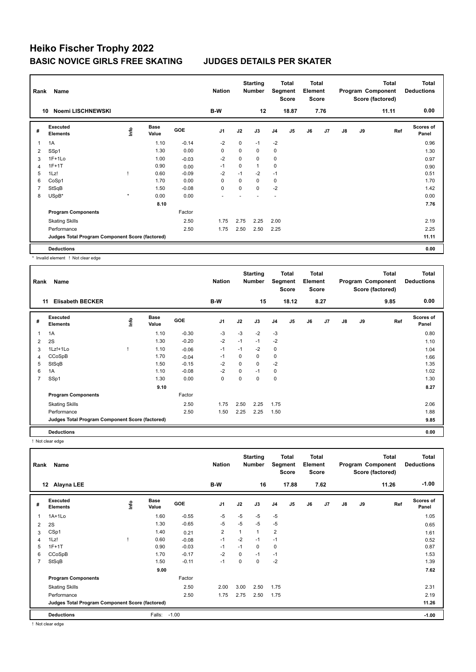| Rank | Name                                            |         |                      |         | <b>Nation</b>  |             | <b>Starting</b><br><b>Number</b> |                | Total<br>Segment<br><b>Score</b> | <b>Total</b><br>Element<br><b>Score</b> |      |               |    | <b>Total</b><br>Program Component<br>Score (factored) | <b>Total</b><br><b>Deductions</b> |
|------|-------------------------------------------------|---------|----------------------|---------|----------------|-------------|----------------------------------|----------------|----------------------------------|-----------------------------------------|------|---------------|----|-------------------------------------------------------|-----------------------------------|
|      | Noemi LISCHNEWSKI<br>10                         |         |                      |         | B-W            |             | 12                               |                | 18.87                            |                                         | 7.76 |               |    | 11.11                                                 | 0.00                              |
| #    | <b>Executed</b><br><b>Elements</b>              | lnfo    | <b>Base</b><br>Value | GOE     | J <sub>1</sub> | J2          | J3                               | J <sub>4</sub> | J <sub>5</sub>                   | J6                                      | J7   | $\mathsf{J}8$ | J9 | Ref                                                   | Scores of<br>Panel                |
| 1    | 1A                                              |         | 1.10                 | $-0.14$ | $-2$           | 0           | $-1$                             | $-2$           |                                  |                                         |      |               |    |                                                       | 0.96                              |
| 2    | SSp1                                            |         | 1.30                 | 0.00    | 0              | 0           | 0                                | 0              |                                  |                                         |      |               |    |                                                       | 1.30                              |
| 3    | $1F+1Lo$                                        |         | 1.00                 | $-0.03$ | $-2$           | 0           | 0                                | 0              |                                  |                                         |      |               |    |                                                       | 0.97                              |
| 4    | $1F+1T$                                         |         | 0.90                 | 0.00    | $-1$           | $\mathbf 0$ | 1                                | 0              |                                  |                                         |      |               |    |                                                       | 0.90                              |
| 5    | 1Lz!                                            |         | 0.60                 | $-0.09$ | $-2$           | $-1$        | $-2$                             | $-1$           |                                  |                                         |      |               |    |                                                       | 0.51                              |
| 6    | CoSp1                                           |         | 1.70                 | 0.00    | 0              | 0           | $\mathbf 0$                      | $\mathbf 0$    |                                  |                                         |      |               |    |                                                       | 1.70                              |
| 7    | StSqB                                           |         | 1.50                 | $-0.08$ | 0              | 0           | 0                                | $-2$           |                                  |                                         |      |               |    |                                                       | 1.42                              |
| 8    | USpB*                                           | $\star$ | 0.00                 | 0.00    |                |             |                                  |                |                                  |                                         |      |               |    |                                                       | 0.00                              |
|      |                                                 |         | 8.10                 |         |                |             |                                  |                |                                  |                                         |      |               |    |                                                       | 7.76                              |
|      | <b>Program Components</b>                       |         |                      | Factor  |                |             |                                  |                |                                  |                                         |      |               |    |                                                       |                                   |
|      | <b>Skating Skills</b>                           |         |                      | 2.50    | 1.75           | 2.75        | 2.25                             | 2.00           |                                  |                                         |      |               |    |                                                       | 2.19                              |
|      | Performance                                     |         |                      | 2.50    | 1.75           | 2.50        | 2.50                             | 2.25           |                                  |                                         |      |               |    |                                                       | 2.25                              |
|      | Judges Total Program Component Score (factored) |         |                      |         |                |             |                                  |                |                                  |                                         |      |               |    |                                                       | 11.11                             |
|      | <b>Deductions</b>                               |         |                      |         |                |             |                                  |                |                                  |                                         |      |               |    |                                                       | 0.00                              |

\* Invalid element ! Not clear edge

| Rank           | Name                                            |      |                      |            | <b>Nation</b>  |      | <b>Starting</b><br><b>Number</b> |                | Total<br>Segment<br>Score | <b>Total</b><br>Element<br><b>Score</b> |                |    |    | <b>Total</b><br>Program Component<br>Score (factored) | <b>Total</b><br><b>Deductions</b> |
|----------------|-------------------------------------------------|------|----------------------|------------|----------------|------|----------------------------------|----------------|---------------------------|-----------------------------------------|----------------|----|----|-------------------------------------------------------|-----------------------------------|
|                | <b>Elisabeth BECKER</b><br>11                   |      |                      |            | B-W            |      | 15                               |                | 18.12                     |                                         | 8.27           |    |    | 9.85                                                  | 0.00                              |
| #              | Executed<br><b>Elements</b>                     | ١nf٥ | <b>Base</b><br>Value | <b>GOE</b> | J <sub>1</sub> | J2   | J3                               | J <sub>4</sub> | J <sub>5</sub>            | J6                                      | J <sub>7</sub> | J8 | J9 | Ref                                                   | Scores of<br>Panel                |
|                | 1A                                              |      | 1.10                 | $-0.30$    | -3             | $-3$ | $-2$                             | $-3$           |                           |                                         |                |    |    |                                                       | 0.80                              |
| 2              | 2S                                              |      | 1.30                 | $-0.20$    | $-2$           | $-1$ | $-1$                             | $-2$           |                           |                                         |                |    |    |                                                       | 1.10                              |
| 3              | 1Lz!+1Lo                                        |      | 1.10                 | $-0.06$    | $-1$           | $-1$ | $-2$                             | $\mathbf 0$    |                           |                                         |                |    |    |                                                       | 1.04                              |
| 4              | CCoSpB                                          |      | 1.70                 | $-0.04$    | -1             | 0    | 0                                | 0              |                           |                                         |                |    |    |                                                       | 1.66                              |
| 5              | StSqB                                           |      | 1.50                 | $-0.15$    | $-2$           | 0    | $\mathbf 0$                      | $-2$           |                           |                                         |                |    |    |                                                       | 1.35                              |
| 6              | 1A                                              |      | 1.10                 | $-0.08$    | $-2$           | 0    | $-1$                             | 0              |                           |                                         |                |    |    |                                                       | 1.02                              |
| $\overline{7}$ | SSp1                                            |      | 1.30                 | 0.00       | 0              | 0    | 0                                | $\pmb{0}$      |                           |                                         |                |    |    |                                                       | 1.30                              |
|                |                                                 |      | 9.10                 |            |                |      |                                  |                |                           |                                         |                |    |    |                                                       | 8.27                              |
|                | <b>Program Components</b>                       |      |                      | Factor     |                |      |                                  |                |                           |                                         |                |    |    |                                                       |                                   |
|                | <b>Skating Skills</b>                           |      |                      | 2.50       | 1.75           | 2.50 | 2.25                             | 1.75           |                           |                                         |                |    |    |                                                       | 2.06                              |
|                | Performance                                     |      |                      | 2.50       | 1.50           | 2.25 | 2.25                             | 1.50           |                           |                                         |                |    |    |                                                       | 1.88                              |
|                | Judges Total Program Component Score (factored) |      |                      |            |                |      |                                  |                |                           |                                         |                |    |    |                                                       | 9.85                              |
|                | <b>Deductions</b>                               |      |                      |            |                |      |                                  |                |                           |                                         |                |    |    |                                                       | 0.00                              |

! Not clear edge

| Rank           | Name                                            |   |                      |            | <b>Nation</b>  |      | <b>Starting</b><br><b>Number</b> | Segment        | Total<br><b>Score</b> | <b>Total</b><br>Element<br><b>Score</b> |      |    |    | <b>Total</b><br>Program Component<br>Score (factored) | <b>Total</b><br><b>Deductions</b> |
|----------------|-------------------------------------------------|---|----------------------|------------|----------------|------|----------------------------------|----------------|-----------------------|-----------------------------------------|------|----|----|-------------------------------------------------------|-----------------------------------|
|                | Alayna LEE<br>12                                |   |                      |            | B-W            |      | 16                               |                | 17.88                 |                                         | 7.62 |    |    | 11.26                                                 | $-1.00$                           |
| #              | Executed<br><b>Elements</b>                     | e | <b>Base</b><br>Value | <b>GOE</b> | J <sub>1</sub> | J2   | J3                               | J <sub>4</sub> | J <sub>5</sub>        | J6                                      | J7   | J8 | J9 | Ref                                                   | <b>Scores of</b><br>Panel         |
| $\mathbf{1}$   | $1A+1Lo$                                        |   | 1.60                 | $-0.55$    | $-5$           | $-5$ | $-5$                             | $-5$           |                       |                                         |      |    |    |                                                       | 1.05                              |
| 2              | 2S                                              |   | 1.30                 | $-0.65$    | -5             | $-5$ | $-5$                             | $-5$           |                       |                                         |      |    |    |                                                       | 0.65                              |
| 3              | CSp1                                            |   | 1.40                 | 0.21       | 2              |      | $\mathbf{1}$                     | $\overline{2}$ |                       |                                         |      |    |    |                                                       | 1.61                              |
| $\overline{4}$ | 1Lz!                                            |   | 0.60                 | $-0.08$    | $-1$           | $-2$ | $-1$                             | $-1$           |                       |                                         |      |    |    |                                                       | 0.52                              |
| 5              | $1F+1T$                                         |   | 0.90                 | $-0.03$    | $-1$           | $-1$ | $\Omega$                         | 0              |                       |                                         |      |    |    |                                                       | 0.87                              |
| 6              | CCoSpB                                          |   | 1.70                 | $-0.17$    | $-2$           | 0    | $-1$                             | $-1$           |                       |                                         |      |    |    |                                                       | 1.53                              |
| $\overline{7}$ | StSqB                                           |   | 1.50                 | $-0.11$    | $-1$           | 0    | 0                                | $-2$           |                       |                                         |      |    |    |                                                       | 1.39                              |
|                |                                                 |   | 9.00                 |            |                |      |                                  |                |                       |                                         |      |    |    |                                                       | 7.62                              |
|                | <b>Program Components</b>                       |   |                      | Factor     |                |      |                                  |                |                       |                                         |      |    |    |                                                       |                                   |
|                | <b>Skating Skills</b>                           |   |                      | 2.50       | 2.00           | 3.00 | 2.50                             | 1.75           |                       |                                         |      |    |    |                                                       | 2.31                              |
|                | Performance                                     |   |                      | 2.50       | 1.75           | 2.75 | 2.50                             | 1.75           |                       |                                         |      |    |    |                                                       | 2.19                              |
|                | Judges Total Program Component Score (factored) |   |                      |            |                |      |                                  |                |                       |                                         |      |    |    |                                                       | 11.26                             |
|                | <b>Deductions</b>                               |   | Falls:               | $-1.00$    |                |      |                                  |                |                       |                                         |      |    |    |                                                       | $-1.00$                           |

! Not clear edge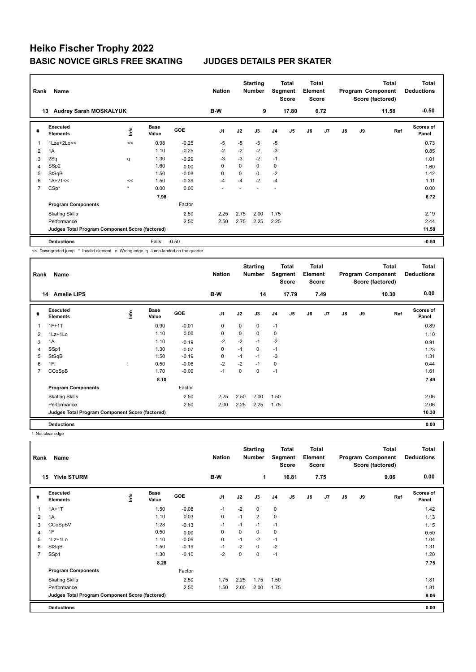| Rank           | Name                                            |         |                      |            | <b>Nation</b>  |             | <b>Starting</b><br><b>Number</b> |                | <b>Total</b><br>Segment<br><b>Score</b> | <b>Total</b><br>Element<br>Score |      |    |    | <b>Total</b><br>Program Component<br>Score (factored) | <b>Total</b><br><b>Deductions</b> |
|----------------|-------------------------------------------------|---------|----------------------|------------|----------------|-------------|----------------------------------|----------------|-----------------------------------------|----------------------------------|------|----|----|-------------------------------------------------------|-----------------------------------|
|                | <b>Audrey Sarah MOSKALYUK</b><br>13             |         |                      |            | B-W            |             | 9                                |                | 17.80                                   |                                  | 6.72 |    |    | 11.58                                                 | $-0.50$                           |
| #              | <b>Executed</b><br><b>Elements</b>              | ١nfo    | <b>Base</b><br>Value | <b>GOE</b> | J <sub>1</sub> | J2          | J3                               | J <sub>4</sub> | J5                                      | J6                               | J7   | J8 | J9 | Ref                                                   | <b>Scores of</b><br>Panel         |
| 1              | $1$ Lze+ $2$ Lo<<                               | <<      | 0.98                 | $-0.25$    | -5             | $-5$        | $-5$                             | $-5$           |                                         |                                  |      |    |    |                                                       | 0.73                              |
| $\overline{2}$ | 1A                                              |         | 1.10                 | $-0.25$    | $-2$           | $-2$        | $-2$                             | $-3$           |                                         |                                  |      |    |    |                                                       | 0.85                              |
| 3              | 2Sq                                             | q       | 1.30                 | $-0.29$    | -3             | $-3$        | $-2$                             | $-1$           |                                         |                                  |      |    |    |                                                       | 1.01                              |
| 4              | SSp2                                            |         | 1.60                 | 0.00       | 0              | $\mathbf 0$ | $\mathbf 0$                      | $\mathbf 0$    |                                         |                                  |      |    |    |                                                       | 1.60                              |
| 5              | StSqB                                           |         | 1.50                 | $-0.08$    | 0              | 0           | 0                                | $-2$           |                                         |                                  |      |    |    |                                                       | 1.42                              |
| 6              | $1A+2T<<$                                       | <<      | 1.50                 | $-0.39$    | $-4$           | $-4$        | $-2$                             | $-4$           |                                         |                                  |      |    |    |                                                       | 1.11                              |
| 7              | $CSp*$                                          | $\star$ | 0.00                 | 0.00       | ٠              |             |                                  | ٠              |                                         |                                  |      |    |    |                                                       | 0.00                              |
|                |                                                 |         | 7.98                 |            |                |             |                                  |                |                                         |                                  |      |    |    |                                                       | 6.72                              |
|                | <b>Program Components</b>                       |         |                      | Factor     |                |             |                                  |                |                                         |                                  |      |    |    |                                                       |                                   |
|                | <b>Skating Skills</b>                           |         |                      | 2.50       | 2.25           | 2.75        | 2.00                             | 1.75           |                                         |                                  |      |    |    |                                                       | 2.19                              |
|                | Performance                                     |         |                      | 2.50       | 2.50           | 2.75        | 2.25                             | 2.25           |                                         |                                  |      |    |    |                                                       | 2.44                              |
|                | Judges Total Program Component Score (factored) |         |                      |            |                |             |                                  |                |                                         |                                  |      |    |    |                                                       | 11.58                             |
|                | <b>Deductions</b>                               |         | Falls:               | $-0.50$    |                |             |                                  |                |                                         |                                  |      |    |    |                                                       | $-0.50$                           |

<< Downgraded jump \* Invalid element e Wrong edge q Jump landed on the quarter

| Rank | Name                                            |    |                      |         | <b>Nation</b>  |      | <b>Starting</b><br><b>Number</b> |                | Total<br>Segment<br><b>Score</b> | Total<br>Element<br><b>Score</b> |                |    |    | <b>Total</b><br>Program Component<br>Score (factored) | <b>Total</b><br><b>Deductions</b> |
|------|-------------------------------------------------|----|----------------------|---------|----------------|------|----------------------------------|----------------|----------------------------------|----------------------------------|----------------|----|----|-------------------------------------------------------|-----------------------------------|
|      | 14<br><b>Amelie LIPS</b>                        |    |                      |         | B-W            |      | 14                               |                | 17.79                            |                                  | 7.49           |    |    | 10.30                                                 | 0.00                              |
| #    | <b>Executed</b><br><b>Elements</b>              | ١m | <b>Base</b><br>Value | GOE     | J <sub>1</sub> | J2   | J3                               | J <sub>4</sub> | J <sub>5</sub>                   | J6                               | J <sub>7</sub> | J8 | J9 | Ref                                                   | <b>Scores of</b><br>Panel         |
| 1    | $1F+1T$                                         |    | 0.90                 | $-0.01$ | 0              | 0    | 0                                | $-1$           |                                  |                                  |                |    |    |                                                       | 0.89                              |
| 2    | 1Lz+1Lo                                         |    | 1.10                 | 0.00    | 0              | 0    | $\Omega$                         | 0              |                                  |                                  |                |    |    |                                                       | 1.10                              |
| 3    | 1A                                              |    | 1.10                 | $-0.19$ | $-2$           | $-2$ | $-1$                             | $-2$           |                                  |                                  |                |    |    |                                                       | 0.91                              |
| 4    | SSp1                                            |    | 1.30                 | $-0.07$ | 0              | $-1$ | 0                                | $-1$           |                                  |                                  |                |    |    |                                                       | 1.23                              |
| 5    | StSqB                                           |    | 1.50                 | $-0.19$ | 0              | $-1$ | $-1$                             | -3             |                                  |                                  |                |    |    |                                                       | 1.31                              |
| 6    | 1F!                                             |    | 0.50                 | $-0.06$ | $-2$           | $-2$ | $-1$                             | 0              |                                  |                                  |                |    |    |                                                       | 0.44                              |
| 7    | CCoSpB                                          |    | 1.70                 | $-0.09$ | $-1$           | 0    | 0                                | $-1$           |                                  |                                  |                |    |    |                                                       | 1.61                              |
|      |                                                 |    | 8.10                 |         |                |      |                                  |                |                                  |                                  |                |    |    |                                                       | 7.49                              |
|      | <b>Program Components</b>                       |    |                      | Factor  |                |      |                                  |                |                                  |                                  |                |    |    |                                                       |                                   |
|      | <b>Skating Skills</b>                           |    |                      | 2.50    | 2.25           | 2.50 | 2.00                             | 1.50           |                                  |                                  |                |    |    |                                                       | 2.06                              |
|      | Performance                                     |    |                      | 2.50    | 2.00           | 2.25 | 2.25                             | 1.75           |                                  |                                  |                |    |    |                                                       | 2.06                              |
|      | Judges Total Program Component Score (factored) |    |                      |         |                |      |                                  |                |                                  |                                  |                |    |    |                                                       | 10.30                             |
|      | <b>Deductions</b>                               |    |                      |         |                |      |                                  |                |                                  |                                  |                |    |    |                                                       | 0.00                              |

! Not clear edge

| Rank                                            | Name                        |      |                      |         | <b>Nation</b>  |      | <b>Starting</b><br><b>Number</b> |                | <b>Total</b><br>Segment<br><b>Score</b> | <b>Total</b><br>Element<br><b>Score</b> |      |               |      | <b>Total</b><br>Program Component<br>Score (factored) | <b>Total</b><br><b>Deductions</b> |
|-------------------------------------------------|-----------------------------|------|----------------------|---------|----------------|------|----------------------------------|----------------|-----------------------------------------|-----------------------------------------|------|---------------|------|-------------------------------------------------------|-----------------------------------|
|                                                 | <b>Ylvie STURM</b><br>15    |      |                      |         | B-W            |      | 1                                |                | 16.81                                   |                                         | 7.75 |               |      | 9.06                                                  | 0.00                              |
| #                                               | Executed<br><b>Elements</b> | ١nf٥ | <b>Base</b><br>Value | GOE     | J <sub>1</sub> | J2   | J3                               | J <sub>4</sub> | J5                                      | J6                                      | J7   | $\mathsf{J}8$ | J9   | Ref                                                   | <b>Scores of</b><br>Panel         |
| 1                                               | $1A+1T$                     |      | 1.50                 | $-0.08$ | $-1$           | $-2$ | $\mathbf 0$                      | $\mathbf 0$    |                                         |                                         |      |               |      |                                                       | 1.42                              |
| 2                                               | 1A                          |      | 1.10                 | 0.03    | $\pmb{0}$      | $-1$ | $\overline{2}$                   | $\pmb{0}$      |                                         |                                         |      |               |      |                                                       | 1.13                              |
| 3                                               | CCoSpBV                     |      | 1.28                 | $-0.13$ | $-1$           | $-1$ | $-1$                             | $-1$           |                                         |                                         |      |               |      |                                                       | 1.15                              |
| 4                                               | 1F                          |      | 0.50                 | 0.00    | 0              | 0    | 0                                | 0              |                                         |                                         |      |               |      |                                                       | 0.50                              |
| 5                                               | 1Lz+1Lo                     |      | 1.10                 | $-0.06$ | $\pmb{0}$      | $-1$ | $-2$                             | $-1$           |                                         |                                         |      |               |      |                                                       | 1.04                              |
| 6                                               | StSqB                       |      | 1.50                 | $-0.19$ | $-1$           | $-2$ | 0                                | $-2$           |                                         |                                         |      |               |      |                                                       | 1.31                              |
| $\overline{7}$                                  | SSp1                        |      | 1.30                 | $-0.10$ | $-2$           | 0    | 0                                | $-1$           |                                         |                                         |      |               |      |                                                       | 1.20                              |
|                                                 |                             |      | 8.28                 |         |                |      |                                  |                |                                         |                                         |      |               |      |                                                       | 7.75                              |
|                                                 | <b>Program Components</b>   |      |                      | Factor  |                |      |                                  |                |                                         |                                         |      |               |      |                                                       |                                   |
|                                                 | <b>Skating Skills</b>       |      |                      | 2.50    | 1.75           | 2.25 | 1.75                             | 1.50           |                                         |                                         |      |               |      |                                                       | 1.81                              |
|                                                 | Performance                 |      |                      | 2.50    | 1.50           | 2.00 | 2.00                             | 1.75           |                                         |                                         |      |               |      |                                                       | 1.81                              |
| Judges Total Program Component Score (factored) |                             |      |                      |         |                |      |                                  |                |                                         |                                         |      |               | 9.06 |                                                       |                                   |
|                                                 | <b>Deductions</b>           |      |                      |         |                |      |                                  |                |                                         |                                         |      |               |      |                                                       | 0.00                              |